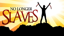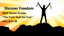**Discover Freedom 2019 Theme Sunday "The Truth Shall Set Free" John 8:31-36**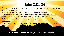# John 8:31-36

<sup>31</sup> So Jesus said to the Jews who had believed him, "If you abide in my word, you are truly my disciples,

<sup>32</sup> and you will know the truth, and the truth will set you free."

<sup>33</sup> They answered him, "We are offspring of Abraham and have never been enslaved to anyone. How is it that you say, 'You will become free'?" <sup>34</sup> Jesus answered them, "Truly, truly, I say to you, everyone who practices sin is a slave to sin.

<sup>35</sup> The slave does not remain in the house (of the Jews) forever, the son remains forever.

<sup>36</sup> So if the Son sets you free, you will be free indeed.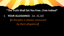#### **"The Truth Shall Set You Free…Free Indeed"**

## **I. YOUR ALLEGIANCE**: *(vs. 31,32) [A disciples is always measured by their allegiance]*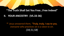# **"The Truth Shall Set You Free…Free Indeed"**

### **II. YOUR ANCESTRY: (VS.33-36)**

*<sup>34</sup>Jesus answered them, "Truly, truly, I say to you, everyone who practices sin is a slave to sin. (34,51,58)*